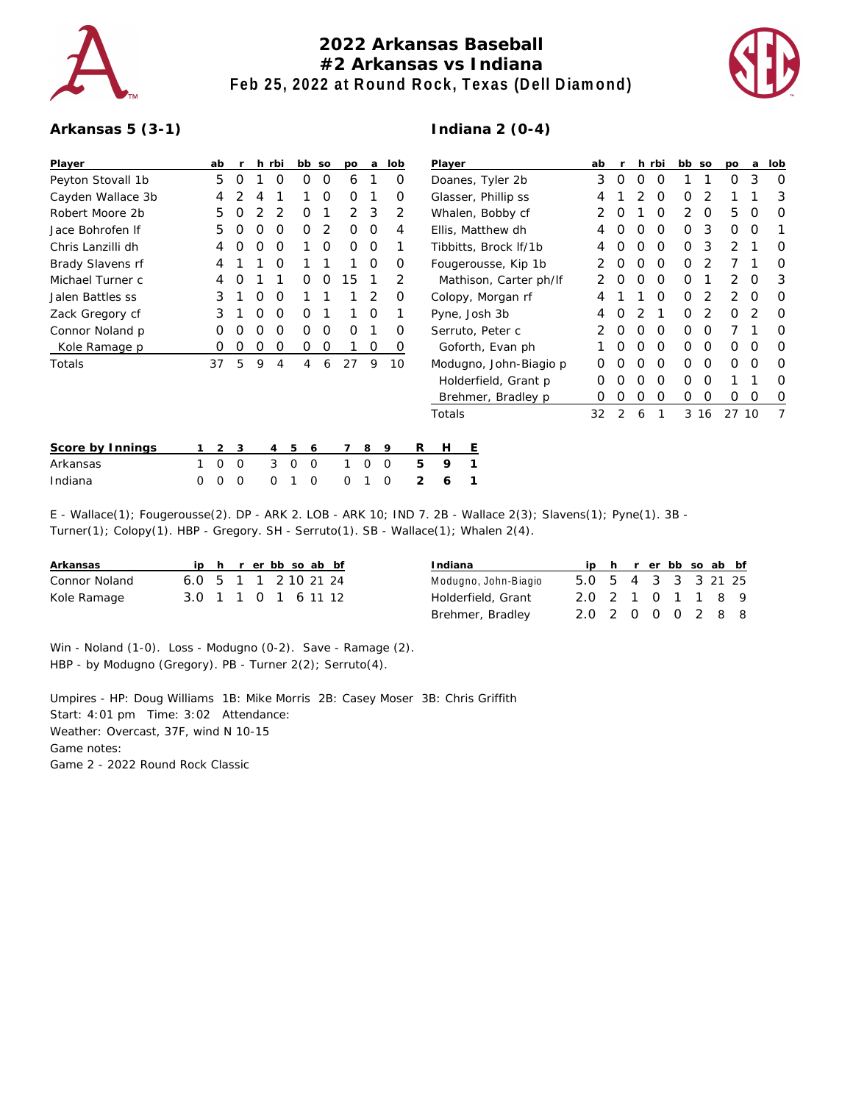

## **2022 Arkansas Baseball #2 Arkansas vs Indiana Feb 25, 2022 at Round Rock, Texas (Dell Diamond)**

**Indiana 2 (0-4)**



## **Arkansas 5 (3-1)**

| Player            |                    | ab             |   |   | h rbi          |   | bb so    | po       | a | lob |   | Player                 |   |                        |  | ab |   |   | h rbi    | bb so |    | po           | a        | lob      |
|-------------------|--------------------|----------------|---|---|----------------|---|----------|----------|---|-----|---|------------------------|---|------------------------|--|----|---|---|----------|-------|----|--------------|----------|----------|
| Peyton Stovall 1b |                    | 5              | 0 |   | O              | 0 | 0        | 6        |   | 0   |   | Doanes, Tyler 2b       |   |                        |  | 3  | 0 | 0 | $\Omega$ |       |    | 0            | 3        | 0        |
| Cayden Wallace 3b |                    | 4              |   | 4 |                |   | 0        | $\Omega$ |   | 0   |   | Glasser, Phillip ss    |   |                        |  |    |   |   | $\Omega$ | O     |    |              |          | 3        |
| Robert Moore 2b   |                    | 5              | O |   |                | O |          | 2        | 3 | 2   |   | Whalen, Bobby cf       |   |                        |  |    | O |   | $\Omega$ | 2     | 0  | 5            | O        | 0        |
| Jace Bohrofen If  |                    | 5              | O | O | O              | 0 | 2        | 0        | 0 | 4   |   | Ellis, Matthew dh      |   |                        |  | 4  | 0 | O | 0        | 0     | 3  | $\mathbf{O}$ | O        |          |
| Chris Lanzilli dh |                    | 4              | 0 | O | O              |   | O        | 0        | 0 |     |   | Tibbitts, Brock If/1b  |   |                        |  | 4  |   | O | $\Omega$ | 0     | 3  | 2            |          | O        |
| Brady Slavens rf  |                    | 4              |   |   | O              |   |          |          | 0 | 0   |   | Fougerousse, Kip 1b    |   |                        |  |    | O | O | $\Omega$ | 0     |    |              |          | O        |
| Michael Turner c  |                    | 4              |   |   |                | Ο | O        | 15       |   | 2   |   | Mathison, Carter ph/If |   |                        |  |    | O | O | $\Omega$ | 0     |    | 2            | O        | 3        |
| Jalen Battles ss  |                    | 3              |   | O | O              |   |          |          | 2 | O   |   | Colopy, Morgan rf      |   |                        |  | 4  |   |   | ∩        | O     | 2  | 2            | $\Omega$ | O        |
| Zack Gregory cf   |                    | 3              |   | 0 | 0              | 0 |          |          | 0 |     |   | Pyne, Josh 3b          |   |                        |  | 4  | O |   |          | 0     | 2  | 0            | 2        | 0        |
| Connor Noland p   |                    | 0              | O | O | O              | 0 | 0        | $\Omega$ |   | O   |   | Serruto, Peter c       |   |                        |  | 2  | 0 | O | $\Omega$ | 0     | O  |              |          | $\Omega$ |
| Kole Ramage p     |                    | 0              | 0 | 0 | 0              | 0 | 0        |          | 0 | O   |   | Goforth, Evan ph       |   |                        |  |    | O | O | $\Omega$ | 0     | 0  | 0            | O        | 0        |
| Totals            |                    | 37             | 5 | 9 | 4              | 4 | 6        | 27       | 9 | 10  |   |                        |   | Modugno, John-Biagio p |  | Ο  |   | O | $\Omega$ | 0     | 0  | $\mathbf 0$  | O        | 0        |
|                   |                    |                |   |   |                |   |          |          |   |     |   |                        |   | Holderfield, Grant p   |  | Ο  |   |   | $\Omega$ | Ο     | O  |              |          | O        |
|                   | Brehmer, Bradley p |                |   | Ο | O              | O | $\Omega$ | 0        | 0 | 0   | O | 0                      |   |                        |  |    |   |   |          |       |    |              |          |          |
|                   |                    |                |   |   |                |   |          |          |   |     |   | Totals                 |   |                        |  | 32 | 2 | 6 |          | 3     | 16 | 27 10        |          | 7        |
| Score by Innings  |                    | $\overline{2}$ | 3 |   | $\overline{4}$ | 5 | 6        |          | 8 | 9   | R | Н                      | Е |                        |  |    |   |   |          |       |    |              |          |          |
| Arkansas          |                    | 0              | 0 |   | 3              | 0 | 0        |          | Ω | 0   | 5 | 9                      |   |                        |  |    |   |   |          |       |    |              |          |          |
| Indiana           | 0                  | 0              | 0 |   | 0              |   | 0        | 0        |   | 0   | 2 | 6                      |   |                        |  |    |   |   |          |       |    |              |          |          |

E - Wallace(1); Fougerousse(2). DP - ARK 2. LOB - ARK 10; IND 7. 2B - Wallace 2(3); Slavens(1); Pyne(1). 3B - Turner(1); Colopy(1). HBP - Gregory. SH - Serruto(1). SB - Wallace(1); Whalen 2(4).

| Arkansas      |                      |  |  | ip h r er bb so ab bf |  |
|---------------|----------------------|--|--|-----------------------|--|
| Connor Noland | 6.0 5 1 1 2 10 21 24 |  |  |                       |  |
| Kole Ramage   | 3.0 1 1 0 1 6 11 12  |  |  |                       |  |

| Indiana              |                     |  |  | ip h r er bb so ab bf |  |
|----------------------|---------------------|--|--|-----------------------|--|
| Modugno, John-Biagio | 5.0 5 4 3 3 3 21 25 |  |  |                       |  |
| Holderfield, Grant   | 20 2 1 0 1 1 8 9    |  |  |                       |  |
| Brehmer, Bradley     | 2.0 2 0 0 0 2 8 8   |  |  |                       |  |

Win - Noland (1-0). Loss - Modugno (0-2). Save - Ramage (2). HBP - by Modugno (Gregory). PB - Turner 2(2); Serruto(4).

Umpires - HP: Doug Williams 1B: Mike Morris 2B: Casey Moser 3B: Chris Griffith Start: 4:01 pm Time: 3:02 Attendance: Weather: Overcast, 37F, wind N 10-15 Game notes: Game 2 - 2022 Round Rock Classic